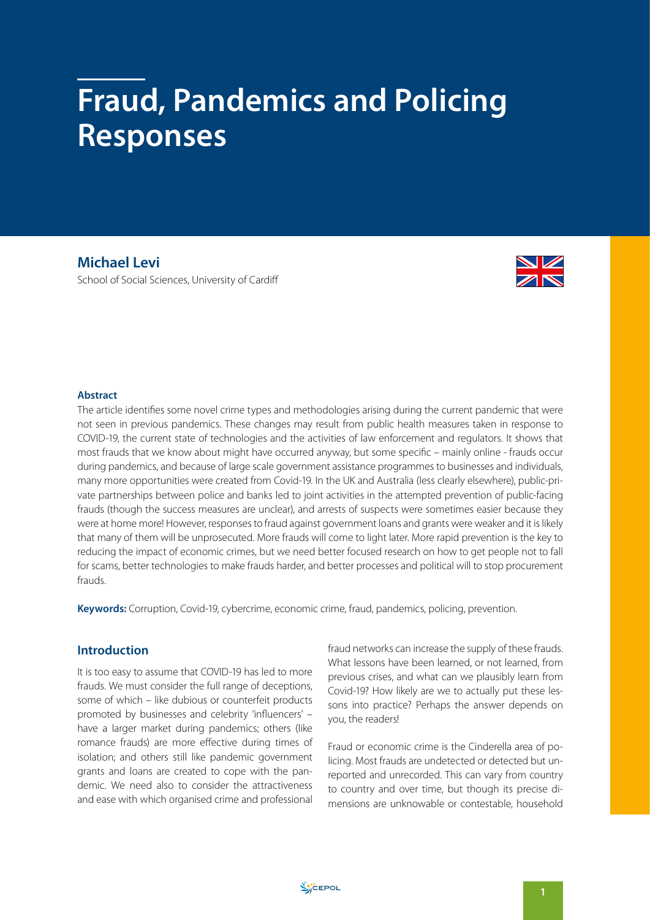# **Fraud, Pandemics and Policing Responses**

**Michael Levi** School of Social Sciences, University of Cardiff



## **Abstract**

The article identifies some novel crime types and methodologies arising during the current pandemic that were not seen in previous pandemics. These changes may result from public health measures taken in response to COVID-19, the current state of technologies and the activities of law enforcement and regulators. It shows that most frauds that we know about might have occurred anyway, but some specific – mainly online - frauds occur during pandemics, and because of large scale government assistance programmes to businesses and individuals, many more opportunities were created from Covid-19. In the UK and Australia (less clearly elsewhere), public-private partnerships between police and banks led to joint activities in the attempted prevention of public-facing frauds (though the success measures are unclear), and arrests of suspects were sometimes easier because they were at home more! However, responses to fraud against government loans and grants were weaker and it is likely that many of them will be unprosecuted. More frauds will come to light later. More rapid prevention is the key to reducing the impact of economic crimes, but we need better focused research on how to get people not to fall for scams, better technologies to make frauds harder, and better processes and political will to stop procurement frauds.

**Keywords:** Corruption, Covid-19, cybercrime, economic crime, fraud, pandemics, policing, prevention.

# **Introduction**

It is too easy to assume that COVID-19 has led to more frauds. We must consider the full range of deceptions, some of which – like dubious or counterfeit products promoted by businesses and celebrity 'influencers' – have a larger market during pandemics; others (like romance frauds) are more effective during times of isolation; and others still like pandemic government grants and loans are created to cope with the pandemic. We need also to consider the attractiveness and ease with which organised crime and professional fraud networks can increase the supply of these frauds. What lessons have been learned, or not learned, from previous crises, and what can we plausibly learn from Covid-19? How likely are we to actually put these lessons into practice? Perhaps the answer depends on you, the readers!

Fraud or economic crime is the Cinderella area of policing. Most frauds are undetected or detected but unreported and unrecorded. This can vary from country to country and over time, but though its precise dimensions are unknowable or contestable, household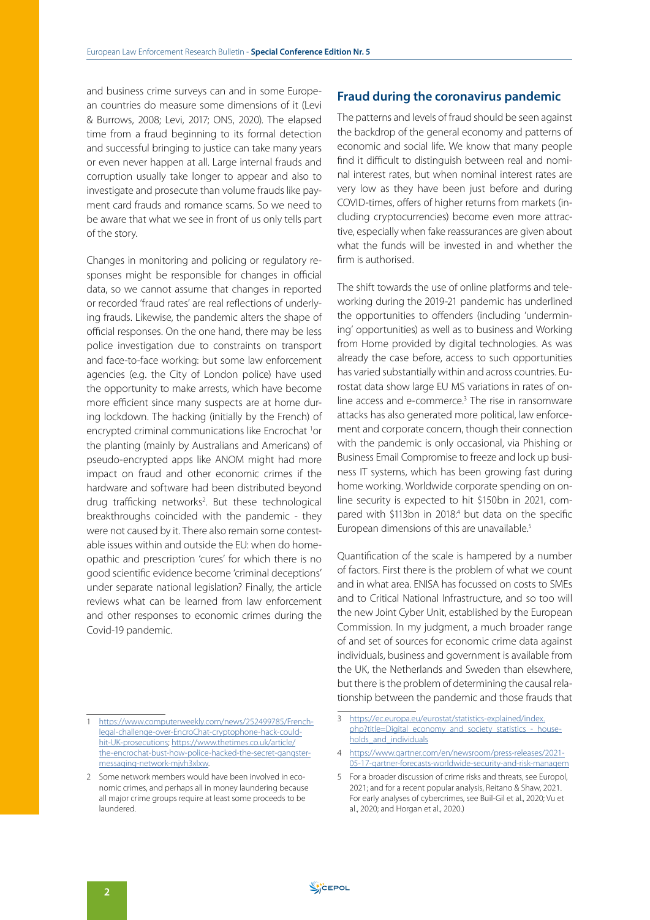and business crime surveys can and in some European countries do measure some dimensions of it (Levi & Burrows, 2008; Levi, 2017; ONS, 2020). The elapsed time from a fraud beginning to its formal detection and successful bringing to justice can take many years or even never happen at all. Large internal frauds and corruption usually take longer to appear and also to investigate and prosecute than volume frauds like payment card frauds and romance scams. So we need to be aware that what we see in front of us only tells part of the story.

Changes in monitoring and policing or regulatory responses might be responsible for changes in official data, so we cannot assume that changes in reported or recorded 'fraud rates' are real reflections of underlying frauds. Likewise, the pandemic alters the shape of official responses. On the one hand, there may be less police investigation due to constraints on transport and face-to-face working: but some law enforcement agencies (e.g. the City of London police) have used the opportunity to make arrests, which have become more efficient since many suspects are at home during lockdown. The hacking (initially by the French) of encrypted criminal communications like Encrochat <sup>1</sup>or the planting (mainly by Australians and Americans) of pseudo-encrypted apps like ANOM might had more impact on fraud and other economic crimes if the hardware and software had been distributed beyond drug trafficking networks<sup>2</sup>. But these technological breakthroughs coincided with the pandemic - they were not caused by it. There also remain some contestable issues within and outside the EU: when do homeopathic and prescription 'cures' for which there is no good scientific evidence become 'criminal deceptions' under separate national legislation? Finally, the article reviews what can be learned from law enforcement and other responses to economic crimes during the Covid-19 pandemic.

## **Fraud during the coronavirus pandemic**

The patterns and levels of fraud should be seen against the backdrop of the general economy and patterns of economic and social life. We know that many people find it difficult to distinguish between real and nominal interest rates, but when nominal interest rates are very low as they have been just before and during COVID-times, offers of higher returns from markets (including cryptocurrencies) become even more attractive, especially when fake reassurances are given about what the funds will be invested in and whether the firm is authorised.

The shift towards the use of online platforms and teleworking during the 2019-21 pandemic has underlined the opportunities to offenders (including 'undermining' opportunities) as well as to business and Working from Home provided by digital technologies. As was already the case before, access to such opportunities has varied substantially within and across countries. Eurostat data show large EU MS variations in rates of online access and e-commerce.<sup>3</sup> The rise in ransomware attacks has also generated more political, law enforcement and corporate concern, though their connection with the pandemic is only occasional, via Phishing or Business Email Compromise to freeze and lock up business IT systems, which has been growing fast during home working. Worldwide corporate spending on online security is expected to hit \$150bn in 2021, compared with \$113bn in 2018.<sup>4</sup> but data on the specific European dimensions of this are unavailable.5

Quantification of the scale is hampered by a number of factors. First there is the problem of what we count and in what area. ENISA has focussed on costs to SMEs and to Critical National Infrastructure, and so too will the new Joint Cyber Unit, established by the European Commission. In my judgment, a much broader range of and set of sources for economic crime data against individuals, business and government is available from the UK, the Netherlands and Sweden than elsewhere, but there is the problem of determining the causal relationship between the pandemic and those frauds that

<sup>1</sup> [https://www.computerweekly.com/news/252499785/French](https://www.computerweekly.com/news/252499785/French-legal-challenge-over-EncroChat-cryptophone-hack-could-hit-UK-prosecutions)[legal-challenge-over-EncroChat-cryptophone-hack-could](https://www.computerweekly.com/news/252499785/French-legal-challenge-over-EncroChat-cryptophone-hack-could-hit-UK-prosecutions)[hit-UK-prosecutions](https://www.computerweekly.com/news/252499785/French-legal-challenge-over-EncroChat-cryptophone-hack-could-hit-UK-prosecutions); [https://www.thetimes.co.uk/article/](https://www.thetimes.co.uk/article/the-encrochat-bust-how-police-hacked-the-secret-gangster-messaging-network-mjvh3xlxw) [the-encrochat-bust-how-police-hacked-the-secret-gangster](https://www.thetimes.co.uk/article/the-encrochat-bust-how-police-hacked-the-secret-gangster-messaging-network-mjvh3xlxw)[messaging-network-mjvh3xlxw.](https://www.thetimes.co.uk/article/the-encrochat-bust-how-police-hacked-the-secret-gangster-messaging-network-mjvh3xlxw)

<sup>2</sup> Some network members would have been involved in economic crimes, and perhaps all in money laundering because all major crime groups require at least some proceeds to be laundered.

<sup>3</sup> [https://ec.europa.eu/eurostat/statistics-explained/index.](https://ec.europa.eu/eurostat/statistics-explained/index.php?title=Digital_economy_and_society_statistics_-_households_and_individuals) php?title=Digital\_economy\_and\_society\_statistics -\_house[holds\\_and\\_individuals](https://ec.europa.eu/eurostat/statistics-explained/index.php?title=Digital_economy_and_society_statistics_-_households_and_individuals)

<sup>4</sup> [https://www.gartner.com/en/newsroom/press-releases/2021-](https://www.gartner.com/en/newsroom/press-releases/2021-05-17-gartner-forecasts-worldwide-security-and-risk-managem) [05-17-gartner-forecasts-worldwide-security-and-risk-managem](https://www.gartner.com/en/newsroom/press-releases/2021-05-17-gartner-forecasts-worldwide-security-and-risk-managem)

<sup>5</sup> For a broader discussion of crime risks and threats, see Europol, 2021; and for a recent popular analysis, Reitano & Shaw, 2021. For early analyses of cybercrimes, see Buil-Gil et al., 2020; Vu et al., 2020; and Horgan et al., 2020.)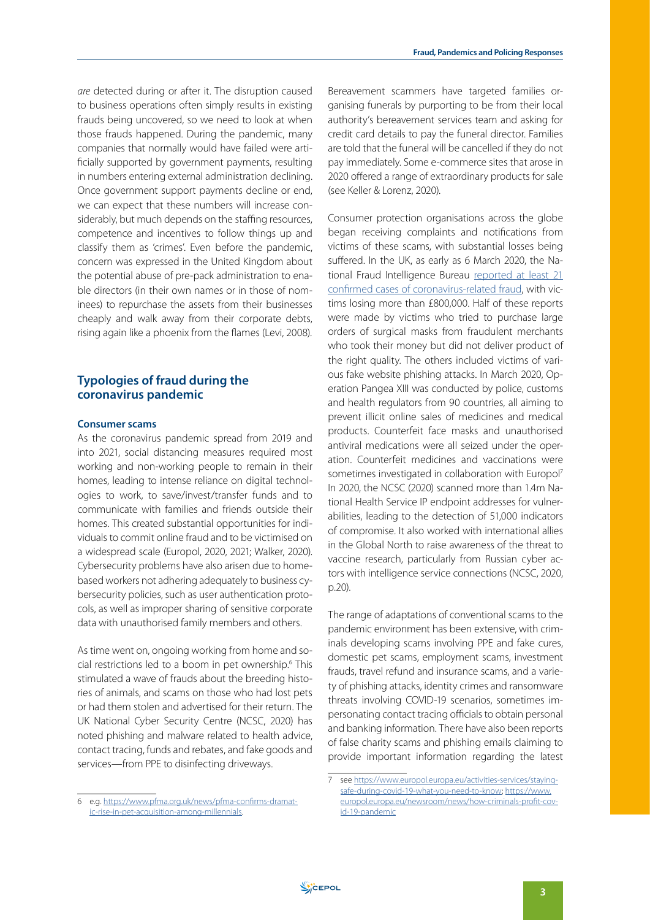*are* detected during or after it. The disruption caused to business operations often simply results in existing frauds being uncovered, so we need to look at when those frauds happened. During the pandemic, many companies that normally would have failed were artificially supported by government payments, resulting in numbers entering external administration declining. Once government support payments decline or end, we can expect that these numbers will increase considerably, but much depends on the staffing resources, competence and incentives to follow things up and classify them as 'crimes'. Even before the pandemic, concern was expressed in the United Kingdom about the potential abuse of pre-pack administration to enable directors (in their own names or in those of nominees) to repurchase the assets from their businesses cheaply and walk away from their corporate debts, rising again like a phoenix from the flames (Levi, 2008).

# **Typologies of fraud during the coronavirus pandemic**

## **Consumer scams**

As the coronavirus pandemic spread from 2019 and into 2021, social distancing measures required most working and non-working people to remain in their homes, leading to intense reliance on digital technologies to work, to save/invest/transfer funds and to communicate with families and friends outside their homes. This created substantial opportunities for individuals to commit online fraud and to be victimised on a widespread scale (Europol, 2020, 2021; Walker, 2020). Cybersecurity problems have also arisen due to homebased workers not adhering adequately to business cybersecurity policies, such as user authentication protocols, as well as improper sharing of sensitive corporate data with unauthorised family members and others.

As time went on, ongoing working from home and social restrictions led to a boom in pet ownership.6 This stimulated a wave of frauds about the breeding histories of animals, and scams on those who had lost pets or had them stolen and advertised for their return. The UK National Cyber Security Centre (NCSC, 2020) has noted phishing and malware related to health advice, contact tracing, funds and rebates, and fake goods and services—from PPE to disinfecting driveways.

Bereavement scammers have targeted families organising funerals by purporting to be from their local authority's bereavement services team and asking for credit card details to pay the funeral director. Families are told that the funeral will be cancelled if they do not pay immediately. Some e-commerce sites that arose in 2020 offered a range of extraordinary products for sale (see Keller & Lorenz, 2020).

Consumer protection organisations across the globe began receiving complaints and notifications from victims of these scams, with substantial losses being suffered. In the UK, as early as 6 March 2020, the National Fraud Intelligence Bureau [reported at least 21](https://www.usnews.com/news/world/articles/2020-03-06/coronavirus-fraud-uk-victims-lose-800-000-pounds-in-scams)  [confirmed cases of coronavirus-related fraud,](https://www.usnews.com/news/world/articles/2020-03-06/coronavirus-fraud-uk-victims-lose-800-000-pounds-in-scams) with victims losing more than £800,000. Half of these reports were made by victims who tried to purchase large orders of surgical masks from fraudulent merchants who took their money but did not deliver product of the right quality. The others included victims of various fake website phishing attacks. In March 2020, Operation Pangea XIII was conducted by police, customs and health regulators from 90 countries, all aiming to prevent illicit online sales of medicines and medical products. Counterfeit face masks and unauthorised antiviral medications were all seized under the operation. Counterfeit medicines and vaccinations were sometimes investigated in collaboration with Europol<sup>7</sup> In 2020, the NCSC (2020) scanned more than 1.4m National Health Service IP endpoint addresses for vulnerabilities, leading to the detection of 51,000 indicators of compromise. It also worked with international allies in the Global North to raise awareness of the threat to vaccine research, particularly from Russian cyber actors with intelligence service connections (NCSC, 2020, p.20).

The range of adaptations of conventional scams to the pandemic environment has been extensive, with criminals developing scams involving PPE and fake cures, domestic pet scams, employment scams, investment frauds, travel refund and insurance scams, and a variety of phishing attacks, identity crimes and ransomware threats involving COVID-19 scenarios, sometimes impersonating contact tracing officials to obtain personal and banking information. There have also been reports of false charity scams and phishing emails claiming to provide important information regarding the latest

<sup>6</sup> e.g. [https://www.pfma.org.uk/news/pfma-confirms-dramat](https://www.pfma.org.uk/news/pfma-confirms-dramatic-rise-in-pet-acquisition-among-millennials)[ic-rise-in-pet-acquisition-among-millennials](https://www.pfma.org.uk/news/pfma-confirms-dramatic-rise-in-pet-acquisition-among-millennials).

see [https://www.europol.europa.eu/activities-services/staying](https://eur03.safelinks.protection.outlook.com/?url=https%3A%2F%2Fwww.europol.europa.eu%2Factivities-services%2Fstaying-safe-during-covid-19-what-you-need-to-know&data=04%7C01%7CLevi%40cardiff.ac.uk%7C015a16bf53f14e27997108d942b1260b%7Cbdb74b3095684856bdbf06759778fcbc%7C1%7C0%7C637614150885292202%7CUnknown%7CTWFpbGZsb3d8eyJWIjoiMC4wLjAwMDAiLCJQIjoiV2luMzIiLCJBTiI6Ik1haWwiLCJXVCI6Mn0%3D%7C1000&sdata=qegpWNBQXkYGC%2Fvhx0DH2ZWoHZEuVjBlO%2Fe2abZKY1k%3D&reserved=0)[safe-during-covid-19-what-you-need-to-know;](https://eur03.safelinks.protection.outlook.com/?url=https%3A%2F%2Fwww.europol.europa.eu%2Factivities-services%2Fstaying-safe-during-covid-19-what-you-need-to-know&data=04%7C01%7CLevi%40cardiff.ac.uk%7C015a16bf53f14e27997108d942b1260b%7Cbdb74b3095684856bdbf06759778fcbc%7C1%7C0%7C637614150885292202%7CUnknown%7CTWFpbGZsb3d8eyJWIjoiMC4wLjAwMDAiLCJQIjoiV2luMzIiLCJBTiI6Ik1haWwiLCJXVCI6Mn0%3D%7C1000&sdata=qegpWNBQXkYGC%2Fvhx0DH2ZWoHZEuVjBlO%2Fe2abZKY1k%3D&reserved=0) [https://www.](https://www.europol.europa.eu/newsroom/news/how-criminals-profit-covid-19-pandemic) [europol.europa.eu/newsroom/news/how-criminals-profit-cov](https://www.europol.europa.eu/newsroom/news/how-criminals-profit-covid-19-pandemic)[id-19-pandemic](https://www.europol.europa.eu/newsroom/news/how-criminals-profit-covid-19-pandemic)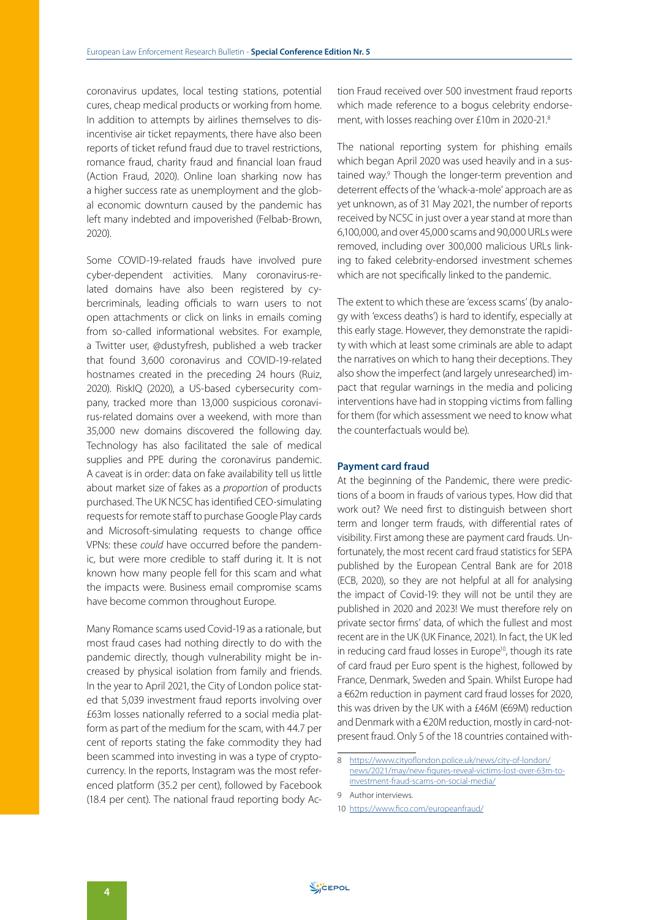coronavirus updates, local testing stations, potential cures, cheap medical products or working from home. In addition to attempts by airlines themselves to disincentivise air ticket repayments, there have also been reports of ticket refund fraud due to travel restrictions, romance fraud, charity fraud and financial loan fraud (Action Fraud, 2020). Online loan sharking now has a higher success rate as unemployment and the global economic downturn caused by the pandemic has left many indebted and impoverished (Felbab-Brown, 2020).

Some COVID-19-related frauds have involved pure cyber-dependent activities. Many coronavirus-related domains have also been registered by cybercriminals, leading officials to warn users to not open attachments or click on links in emails coming from so-called informational websites. For example, a Twitter user, @dustyfresh, published a web tracker that found 3,600 coronavirus and COVID-19-related hostnames created in the preceding 24 hours (Ruiz, 2020). RiskIQ (2020), a US-based cybersecurity company, tracked more than 13,000 suspicious coronavirus-related domains over a weekend, with more than 35,000 new domains discovered the following day. Technology has also facilitated the sale of medical supplies and PPE during the coronavirus pandemic. A caveat is in order: data on fake availability tell us little about market size of fakes as a *proportion* of products purchased. The UK NCSC has identified CEO-simulating requests for remote staff to purchase Google Play cards and Microsoft-simulating requests to change office VPNs: these *could* have occurred before the pandemic, but were more credible to staff during it. It is not known how many people fell for this scam and what the impacts were. Business email compromise scams have become common throughout Europe.

Many Romance scams used Covid-19 as a rationale, but most fraud cases had nothing directly to do with the pandemic directly, though vulnerability might be increased by physical isolation from family and friends. In the year to April 2021, the City of London police stated that 5,039 investment fraud reports involving over £63m losses nationally referred to a social media platform as part of the medium for the scam, with 44.7 per cent of reports stating the fake commodity they had been scammed into investing in was a type of cryptocurrency. In the reports, Instagram was the most referenced platform (35.2 per cent), followed by Facebook (18.4 per cent). The national fraud reporting body Ac-

tion Fraud received over 500 investment fraud reports which made reference to a bogus celebrity endorsement, with losses reaching over £10m in 2020-21.8

The national reporting system for phishing emails which began April 2020 was used heavily and in a sustained way.<sup>9</sup> Though the longer-term prevention and deterrent effects of the 'whack-a-mole' approach are as yet unknown, as of 31 May 2021, the number of reports received by NCSC in just over a year stand at more than 6,100,000, and over 45,000 scams and 90,000 URLs were removed, including over 300,000 malicious URLs linking to faked celebrity-endorsed investment schemes which are not specifically linked to the pandemic.

The extent to which these are 'excess scams' (by analogy with 'excess deaths') is hard to identify, especially at this early stage. However, they demonstrate the rapidity with which at least some criminals are able to adapt the narratives on which to hang their deceptions. They also show the imperfect (and largely unresearched) impact that regular warnings in the media and policing interventions have had in stopping victims from falling for them (for which assessment we need to know what the counterfactuals would be).

### **Payment card fraud**

At the beginning of the Pandemic, there were predictions of a boom in frauds of various types. How did that work out? We need first to distinguish between short term and longer term frauds, with differential rates of visibility. First among these are payment card frauds. Unfortunately, the most recent card fraud statistics for SEPA published by the European Central Bank are for 2018 (ECB, 2020), so they are not helpful at all for analysing the impact of Covid-19: they will not be until they are published in 2020 and 2023! We must therefore rely on private sector firms' data, of which the fullest and most recent are in the UK (UK Finance, 2021). In fact, the UK led in reducing card fraud losses in Europe<sup>10</sup>, though its rate of card fraud per Euro spent is the highest, followed by France, Denmark, Sweden and Spain. Whilst Europe had a €62m reduction in payment card fraud losses for 2020, this was driven by the UK with a £46M (€69M) reduction and Denmark with a €20M reduction, mostly in card-notpresent fraud. Only 5 of the 18 countries contained with-

<sup>8</sup> [https://www.cityoflondon.police.uk/news/city-of-london/](https://www.cityoflondon.police.uk/news/city-of-london/news/2021/may/new-figures-reveal-victims-lost-over-63m-to-investment-fraud-scams-on-social-media/) [news/2021/may/new-figures-reveal-victims-lost-over-63m-to](https://www.cityoflondon.police.uk/news/city-of-london/news/2021/may/new-figures-reveal-victims-lost-over-63m-to-investment-fraud-scams-on-social-media/)[investment-fraud-scams-on-social-media/](https://www.cityoflondon.police.uk/news/city-of-london/news/2021/may/new-figures-reveal-victims-lost-over-63m-to-investment-fraud-scams-on-social-media/)

<sup>9</sup> Author interviews.

<sup>10</sup> <https://www.fico.com/europeanfraud/>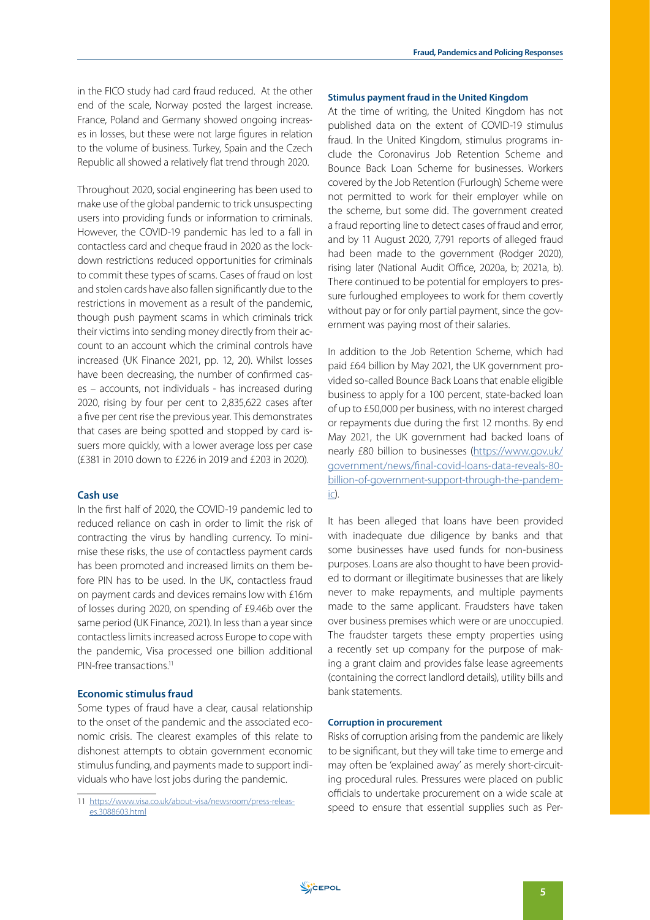in the FICO study had card fraud reduced. At the other end of the scale, Norway posted the largest increase. France, Poland and Germany showed ongoing increases in losses, but these were not large figures in relation to the volume of business. Turkey, Spain and the Czech Republic all showed a relatively flat trend through 2020.

Throughout 2020, social engineering has been used to make use of the global pandemic to trick unsuspecting users into providing funds or information to criminals. However, the COVID-19 pandemic has led to a fall in contactless card and cheque fraud in 2020 as the lockdown restrictions reduced opportunities for criminals to commit these types of scams. Cases of fraud on lost and stolen cards have also fallen significantly due to the restrictions in movement as a result of the pandemic, though push payment scams in which criminals trick their victims into sending money directly from their account to an account which the criminal controls have increased (UK Finance 2021, pp. 12, 20). Whilst losses have been decreasing, the number of confirmed cases – accounts, not individuals - has increased during 2020, rising by four per cent to 2,835,622 cases after a five per cent rise the previous year. This demonstrates that cases are being spotted and stopped by card issuers more quickly, with a lower average loss per case (£381 in 2010 down to £226 in 2019 and £203 in 2020).

## **Cash use**

In the first half of 2020, the COVID-19 pandemic led to reduced reliance on cash in order to limit the risk of contracting the virus by handling currency. To minimise these risks, the use of contactless payment cards has been promoted and increased limits on them before PIN has to be used. In the UK, contactless fraud on payment cards and devices remains low with £16m of losses during 2020, on spending of £9.46b over the same period (UK Finance, 2021). In less than a year since contactless limits increased across Europe to cope with the pandemic, Visa processed one billion additional PIN-free transactions<sup>11</sup>

## **Economic stimulus fraud**

Some types of fraud have a clear, causal relationship to the onset of the pandemic and the associated economic crisis. The clearest examples of this relate to dishonest attempts to obtain government economic stimulus funding, and payments made to support individuals who have lost jobs during the pandemic.

#### **Stimulus payment fraud in the United Kingdom**

At the time of writing, the United Kingdom has not published data on the extent of COVID-19 stimulus fraud. In the United Kingdom, stimulus programs include the Coronavirus Job Retention Scheme and Bounce Back Loan Scheme for businesses. Workers covered by the Job Retention (Furlough) Scheme were not permitted to work for their employer while on the scheme, but some did. The government created a fraud reporting line to detect cases of fraud and error, and by 11 August 2020, 7,791 reports of alleged fraud had been made to the government (Rodger 2020), rising later (National Audit Office, 2020a, b; 2021a, b). There continued to be potential for employers to pressure furloughed employees to work for them covertly without pay or for only partial payment, since the government was paying most of their salaries.

In addition to the Job Retention Scheme, which had paid £64 billion by May 2021, the UK government provided so-called Bounce Back Loans that enable eligible business to apply for a 100 percent, state-backed loan of up to £50,000 per business, with no interest charged or repayments due during the first 12 months. By end May 2021, the UK government had backed loans of nearly £80 billion to businesses ([https://www.gov.uk/](https://www.gov.uk/government/news/final-covid-loans-data-reveals-80-billion-of-government-support-through-the-pandemic) [government/news/final-covid-loans-data-reveals-80](https://www.gov.uk/government/news/final-covid-loans-data-reveals-80-billion-of-government-support-through-the-pandemic) [billion-of-government-support-through-the-pandem](https://www.gov.uk/government/news/final-covid-loans-data-reveals-80-billion-of-government-support-through-the-pandemic)[ic\)](https://www.gov.uk/government/news/final-covid-loans-data-reveals-80-billion-of-government-support-through-the-pandemic).

It has been alleged that loans have been provided with inadequate due diligence by banks and that some businesses have used funds for non-business purposes. Loans are also thought to have been provided to dormant or illegitimate businesses that are likely never to make repayments, and multiple payments made to the same applicant. Fraudsters have taken over business premises which were or are unoccupied. The fraudster targets these empty properties using a recently set up company for the purpose of making a grant claim and provides false lease agreements (containing the correct landlord details), utility bills and bank statements.

## **Corruption in procurement**

Risks of corruption arising from the pandemic are likely to be significant, but they will take time to emerge and may often be 'explained away' as merely short-circuiting procedural rules. Pressures were placed on public officials to undertake procurement on a wide scale at speed to ensure that essential supplies such as Per-

<sup>11</sup> [https://www.visa.co.uk/about-visa/newsroom/press-releas](https://www.visa.co.uk/about-visa/newsroom/press-releases.3088603.html)[es.3088603.html](https://www.visa.co.uk/about-visa/newsroom/press-releases.3088603.html)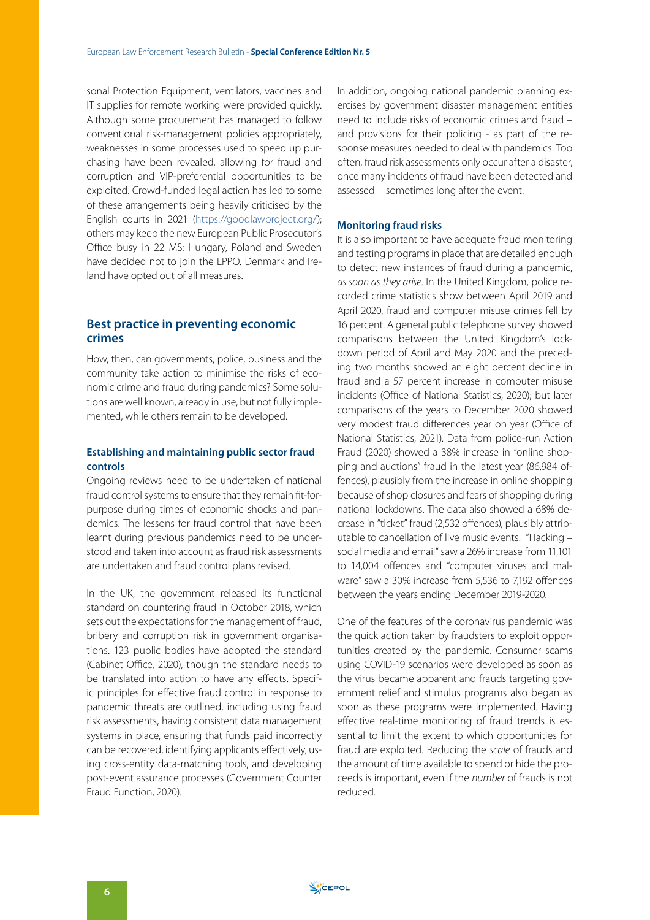sonal Protection Equipment, ventilators, vaccines and IT supplies for remote working were provided quickly. Although some procurement has managed to follow conventional risk-management policies appropriately, weaknesses in some processes used to speed up purchasing have been revealed, allowing for fraud and corruption and VIP-preferential opportunities to be exploited. Crowd-funded legal action has led to some of these arrangements being heavily criticised by the English courts in 2021 [\(https://goodlawproject.org/\)](https://goodlawproject.org/); others may keep the new European Public Prosecutor's Office busy in 22 MS: Hungary, Poland and Sweden have decided not to join the EPPO. Denmark and Ireland have opted out of all measures.

# **Best practice in preventing economic crimes**

How, then, can governments, police, business and the community take action to minimise the risks of economic crime and fraud during pandemics? Some solutions are well known, already in use, but not fully implemented, while others remain to be developed.

## **Establishing and maintaining public sector fraud controls**

Ongoing reviews need to be undertaken of national fraud control systems to ensure that they remain fit-forpurpose during times of economic shocks and pandemics. The lessons for fraud control that have been learnt during previous pandemics need to be understood and taken into account as fraud risk assessments are undertaken and fraud control plans revised.

In the UK, the government released its functional standard on countering fraud in October 2018, which sets out the expectations for the management of fraud, bribery and corruption risk in government organisations. 123 public bodies have adopted the standard (Cabinet Office, 2020), though the standard needs to be translated into action to have any effects. Specific principles for effective fraud control in response to pandemic threats are outlined, including using fraud risk assessments, having consistent data management systems in place, ensuring that funds paid incorrectly can be recovered, identifying applicants effectively, using cross-entity data-matching tools, and developing post-event assurance processes (Government Counter Fraud Function, 2020).

In addition, ongoing national pandemic planning exercises by government disaster management entities need to include risks of economic crimes and fraud – and provisions for their policing - as part of the response measures needed to deal with pandemics. Too often, fraud risk assessments only occur after a disaster, once many incidents of fraud have been detected and assessed—sometimes long after the event.

## **Monitoring fraud risks**

It is also important to have adequate fraud monitoring and testing programs in place that are detailed enough to detect new instances of fraud during a pandemic, *as soon as they arise*. In the United Kingdom, police recorded crime statistics show between April 2019 and April 2020, fraud and computer misuse crimes fell by 16 percent. A general public telephone survey showed comparisons between the United Kingdom's lockdown period of April and May 2020 and the preceding two months showed an eight percent decline in fraud and a 57 percent increase in computer misuse incidents (Office of National Statistics, 2020); but later comparisons of the years to December 2020 showed very modest fraud differences year on year (Office of National Statistics, 2021). Data from police-run Action Fraud (2020) showed a 38% increase in "online shopping and auctions" fraud in the latest year (86,984 offences), plausibly from the increase in online shopping because of shop closures and fears of shopping during national lockdowns. The data also showed a 68% decrease in "ticket" fraud (2,532 offences), plausibly attributable to cancellation of live music events. "Hacking – social media and email" saw a 26% increase from 11,101 to 14,004 offences and "computer viruses and malware" saw a 30% increase from 5,536 to 7,192 offences between the years ending December 2019-2020.

One of the features of the coronavirus pandemic was the quick action taken by fraudsters to exploit opportunities created by the pandemic. Consumer scams using COVID-19 scenarios were developed as soon as the virus became apparent and frauds targeting government relief and stimulus programs also began as soon as these programs were implemented. Having effective real-time monitoring of fraud trends is essential to limit the extent to which opportunities for fraud are exploited. Reducing the *scale* of frauds and the amount of time available to spend or hide the proceeds is important, even if the *number* of frauds is not reduced.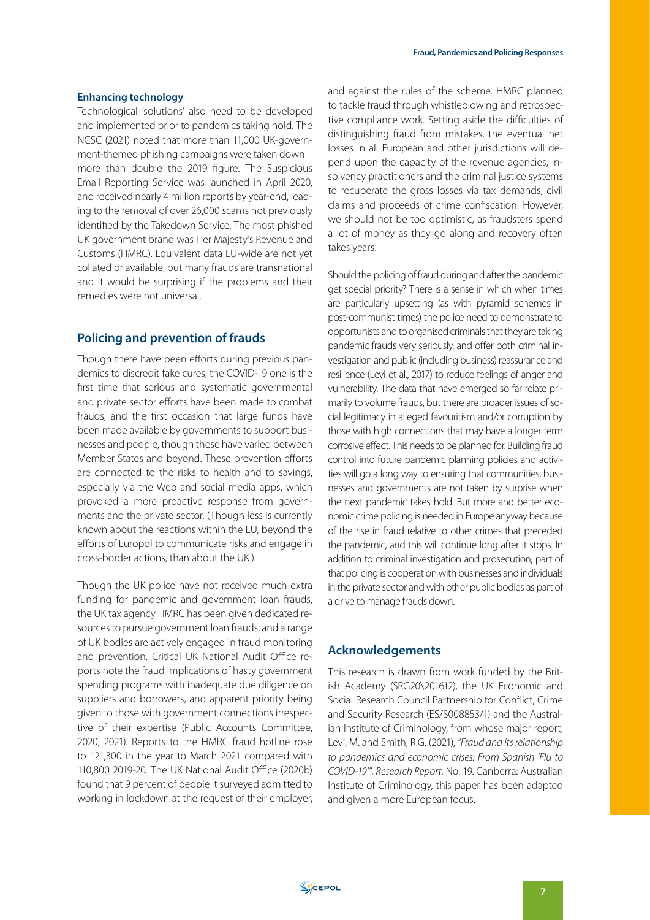#### **Enhancing technology**

Technological 'solutions' also need to be developed and implemented prior to pandemics taking hold. The NCSC (2021) noted that more than 11,000 UK-government-themed phishing campaigns were taken down – more than double the 2019 figure. The Suspicious Email Reporting Service was launched in April 2020, and received nearly 4 million reports by year-end, leading to the removal of over 26,000 scams not previously identified by the Takedown Service. The most phished UK government brand was Her Majesty's Revenue and Customs (HMRC). Equivalent data EU-wide are not yet collated or available, but many frauds are transnational and it would be surprising if the problems and their remedies were not universal.

# **Policing and prevention of frauds**

Though there have been efforts during previous pandemics to discredit fake cures, the COVID-19 one is the first time that serious and systematic governmental and private sector efforts have been made to combat frauds, and the first occasion that large funds have been made available by governments to support businesses and people, though these have varied between Member States and beyond. These prevention efforts are connected to the risks to health and to savings, especially via the Web and social media apps, which provoked a more proactive response from governments and the private sector. (Though less is currently known about the reactions within the EU, beyond the efforts of Europol to communicate risks and engage in cross-border actions, than about the UK.)

Though the UK police have not received much extra funding for pandemic and government loan frauds, the UK tax agency HMRC has been given dedicated resources to pursue government loan frauds, and a range of UK bodies are actively engaged in fraud monitoring and prevention. Critical UK National Audit Office reports note the fraud implications of hasty government spending programs with inadequate due diligence on suppliers and borrowers, and apparent priority being given to those with government connections irrespective of their expertise (Public Accounts Committee, 2020, 2021). Reports to the HMRC fraud hotline rose to 121,300 in the year to March 2021 compared with 110,800 2019-20. The UK National Audit Office (2020b) found that 9 percent of people it surveyed admitted to working in lockdown at the request of their employer, and against the rules of the scheme. HMRC planned to tackle fraud through whistleblowing and retrospective compliance work. Setting aside the difficulties of distinguishing fraud from mistakes, the eventual net losses in all European and other jurisdictions will depend upon the capacity of the revenue agencies, insolvency practitioners and the criminal justice systems to recuperate the gross losses via tax demands, civil claims and proceeds of crime confiscation. However, we should not be too optimistic, as fraudsters spend a lot of money as they go along and recovery often takes years.

Should the policing of fraud during and after the pandemic get special priority? There is a sense in which when times are particularly upsetting (as with pyramid schemes in post-communist times) the police need to demonstrate to opportunists and to organised criminals that they are taking pandemic frauds very seriously, and offer both criminal investigation and public (including business) reassurance and resilience (Levi et al., 2017) to reduce feelings of anger and vulnerability. The data that have emerged so far relate primarily to volume frauds, but there are broader issues of social legitimacy in alleged favouritism and/or corruption by those with high connections that may have a longer term corrosive effect. This needs to be planned for. Building fraud control into future pandemic planning policies and activities will go a long way to ensuring that communities, businesses and governments are not taken by surprise when the next pandemic takes hold. But more and better economic crime policing is needed in Europe anyway because of the rise in fraud relative to other crimes that preceded the pandemic, and this will continue long after it stops. In addition to criminal investigation and prosecution, part of that policing is cooperation with businesses and individuals in the private sector and with other public bodies as part of a drive to manage frauds down.

# **Acknowledgements**

This research is drawn from work funded by the British Academy (SRG20\201612), the UK Economic and Social Research Council Partnership for Conflict, Crime and Security Research (ES/S008853/1) and the Australian Institute of Criminology, from whose major report, Levi, M. and Smith, R.G. (2021), *"Fraud and its relationship to pandemics and economic crises: From Spanish 'Flu to COVID-19'"*, *Research Report*, No. 19. Canberra: Australian Institute of Criminology, this paper has been adapted and given a more European focus.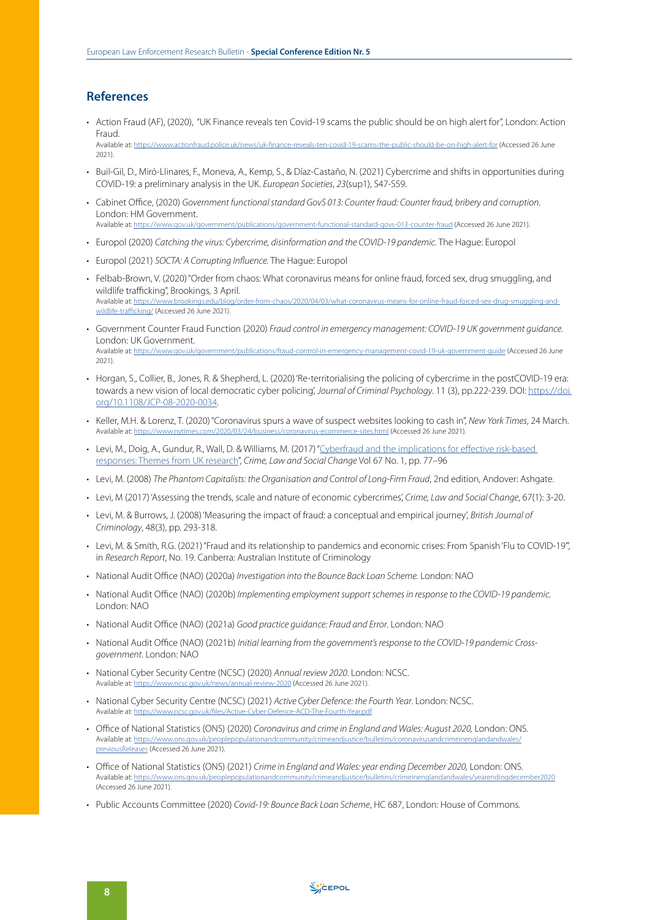## **References**

- Action Fraud (AF), (2020), "UK Finance reveals ten Covid-19 scams the public should be on high alert for", London: Action **Fraud**
- Available at: <https://www.actionfraud.police.uk/news/uk-finance-reveals-ten-covid-19-scams-the-public-should-be-on-high-alert-for>(Accessed 26 June 2021).
- Buil-Gil, D., Miró-Llinares, F., Moneva, A., Kemp, S., & Díaz-Castaño, N. (2021) Cybercrime and shifts in opportunities during COVID-19: a preliminary analysis in the UK. *European Societies*, *23*(sup1), S47-S59.
- Cabinet Office, (2020) *Government functional standard GovS 013: Counter fraud: Counter fraud, bribery and corruption*. London: HM Government. Available at: <https://www.gov.uk/government/publications/government-functional-standard-govs-013-counter-fraud>(Accessed 26 June 2021).
- Europol (2020) *Catching the virus: Cybercrime, disinformation and the COVID-19 pandemic.* The Hague: Europol
- Europol (2021) *SOCTA: A Corrupting Influence.* The Hague: Europol
- Felbab-Brown, V. (2020) "Order from chaos: What coronavirus means for online fraud, forced sex, drug smuggling, and wildlife trafficking", Brookings, 3 April. Available at: [https://www.brookings.edu/blog/order-from-chaos/2020/04/03/what-coronavirus-means-for-online-fraud-forced-sex-drug-smuggling-and](https://www.brookings.edu/blog/order-from-chaos/2020/04/03/what-coronavirus-means-for-online-fraud-forced-sex-drug-smuggling-and-wildlife-trafficking/)[wildlife-trafficking/](https://www.brookings.edu/blog/order-from-chaos/2020/04/03/what-coronavirus-means-for-online-fraud-forced-sex-drug-smuggling-and-wildlife-trafficking/) (Accessed 26 June 2021).
- Government Counter Fraud Function (2020) *Fraud control in emergency management: COVID-19 UK government guidance*. London: UK Government. Available at: <https://www.gov.uk/government/publications/fraud-control-in-emergency-management-covid-19-uk-government-guide> (Accessed 26 June 2021).
- Horgan, S., Collier, B., Jones, R. & Shepherd, L. (2020) 'Re-territorialising the policing of cybercrime in the postCOVID-19 era: towards a new vision of local democratic cyber policing', *Journal of Criminal Psychology*. 11 (3), pp.222-239. DOI: [https://doi.](https://doi.org/10.1108/JCP-08-2020-0034) [org/10.1108/JCP-08-2020-0034.](https://doi.org/10.1108/JCP-08-2020-0034)
- Keller, M.H. & Lorenz, T. (2020) "Coronavirus spurs a wave of suspect websites looking to cash in", *New York Times*, 24 March. Available at: <https://www.nytimes.com/2020/03/24/business/coronavirus-ecommerce-sites.html> (Accessed 26 June 2021).
- Levi, M., Doig, A., Gundur, R., Wall, D. & Williams, M. (2017) "Cyberfraud and the implications for effective risk-based [responses: Themes from UK research](http://orca.cf.ac.uk/95521)", *Crime, Law and Social Change* Vol 67 No. 1, pp. 77–96
- Levi, M. (2008) *The Phantom Capitalists: the Organisation and Control of Long-Firm Fraud*, 2nd edition, Andover: Ashgate.
- Levi, M (2017) 'Assessing the trends, scale and nature of economic cybercrimes', *Crime, Law and Social Change*, 67(1): 3-20.
- Levi, M. & Burrows, J. (2008) 'Measuring the impact of fraud: a conceptual and empirical journey', *British Journal of Criminology*, 48(3), pp. 293-318.
- Levi, M. & Smith, R.G. (2021) "Fraud and its relationship to pandemics and economic crises: From Spanish 'Flu to COVID-19'", in *Research Report*, No. 19. Canberra: Australian Institute of Criminology
- National Audit Office (NAO) (2020a) *Investigation into the Bounce Back Loan Scheme.* London: NAO
- National Audit Office (NAO) (2020b) *Implementing employment support schemes in response to the COVID-19 pandemic.* London: NAO
- National Audit Office (NAO) (2021a) *Good practice guidance: Fraud and Error*. London: NAO
- National Audit Office (NAO) (2021b) *Initial learning from the government's response to the COVID-19 pandemic Crossgovernment*. London: NAO
- National Cyber Security Centre (NCSC) (2020) *Annual review 2020*. London: NCSC. Available at: <https://www.ncsc.gov.uk/news/annual-review-2020>(Accessed 26 June 2021).
- National Cyber Security Centre (NCSC) (2021) *Active Cyber Defence: the Fourth Year*. London: NCSC. Available at: https://v
- Office of National Statistics (ONS) (2020) *Coronavirus and crime in England and Wales: August 2020,* London: ONS. Available at: [https://www.ons.gov.uk/peoplepopulationandcommunity/crimeandjustice/bulletins/coronavirusandcrimeinenglandandwales/](https://www.ons.gov.uk/peoplepopulationandcommunity/crimeandjustice/bulletins/coronavirusandcrimeinenglandandwales/previousReleases) [previousReleases](https://www.ons.gov.uk/peoplepopulationandcommunity/crimeandjustice/bulletins/coronavirusandcrimeinenglandandwales/previousReleases) (Accessed 26 June 2021).
- Office of National Statistics (ONS) (2021) *Crime in England and Wales: year ending December 2020,* London: ONS. Available at: <https://www.ons.gov.uk/peoplepopulationandcommunity/crimeandjustice/bulletins/crimeinenglandandwales/yearendingdecember2020> (Accessed 26 June 2021).
- Public Accounts Committee (2020) *Covid-19: Bounce Back Loan Scheme*, HC 687, London: House of Commons.